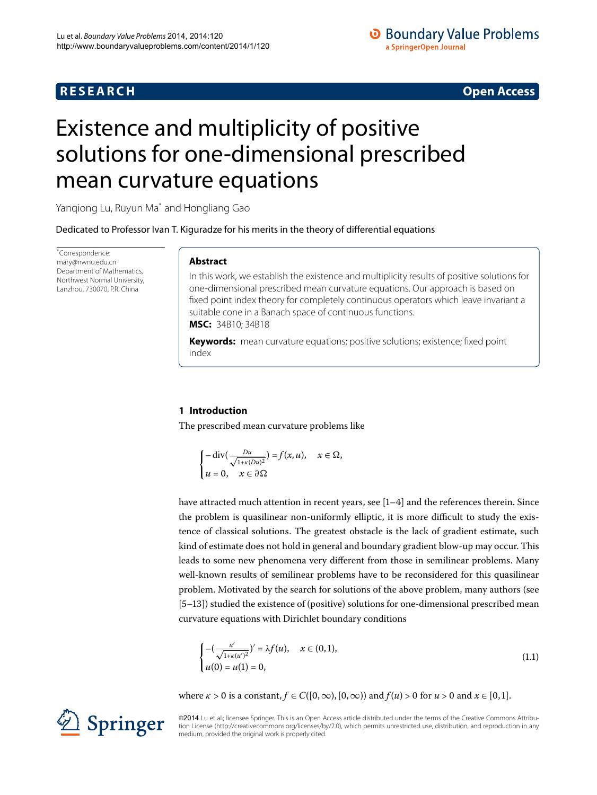# **R E S E A R C H Open Access**

# **O** Boundary Value Problems a SpringerOpen Journal

# <span id="page-0-0"></span>Existence and multiplicity of positive solutions for one-dimensional prescribed mean curvature equations

Yanqiong Lu, Ruyun Ma[\\*](#page-0-0) and Hongliang Gao

Dedicated to Professor Ivan T. Kiguradze for his merits in the theory of differential equations

\* Correspondence: [mary@nwnu.edu.cn](mailto:mary@nwnu.edu.cn) Department of Mathematics, Northwest Normal University, Lanzhou, 730070, P.R. China

# **Abstract**

In this work, we establish the existence and multiplicity results of positive solutions for one-dimensional prescribed mean curvature equations. Our approach is based on fixed point index theory for completely continuous operators which leave invariant a suitable cone in a Banach space of continuous functions. **MSC:** 34B10; 34B18

**Keywords:** mean curvature equations; positive solutions; existence; fixed point index

# **1 Introduction**

The prescribed mean curvature problems like

$$
\begin{cases}\n-\operatorname{div}\left(\frac{Du}{\sqrt{1+\kappa(Du)^2}}\right) = f(x,u), & x \in \Omega, \\
u = 0, & x \in \partial\Omega\n\end{cases}
$$

have attracted much attention in recent years, see  $[1-4]$  and the references therein. Since the problem is quasilinear non-uniformly elliptic, it is more difficult to study the existence of classical solutions. The greatest obstacle is the lack of gradient estimate, such kind of estimate does not hold in general and boundary gradient blow-up may occur. This leads to some new phenomena very different from those in semilinear problems. Many well-known results of semilinear problems have to be reconsidered for this quasilinear problem. Motivated by the search for solutions of the above problem, many authors (see [5-13]) studied the existence of (positive) solutions for one-dimensional prescribed mean curvature equations with Dirichlet boundary conditions

<span id="page-0-1"></span>
$$
\begin{cases}\n-(\frac{u'}{\sqrt{1+\kappa(u')^2}})' = \lambda f(u), & x \in (0,1), \\
u(0) = u(1) = 0,\n\end{cases}
$$
\n(1.1)

where  $\kappa > 0$  is a constant,  $f \in C([0,\infty), [0,\infty))$  and  $f(u) > 0$  for  $u > 0$  and  $x \in [0,1]$ .

©2014 Lu et al.; licensee Springer. This is an Open Access article distributed under the terms of the Creative Commons Attribution License ([http://creativecommons.org/licenses/by/2.0\)](http://creativecommons.org/licenses/by/2.0), which permits unrestricted use, distribution, and reproduction in any medium, provided the original work is properly cited.

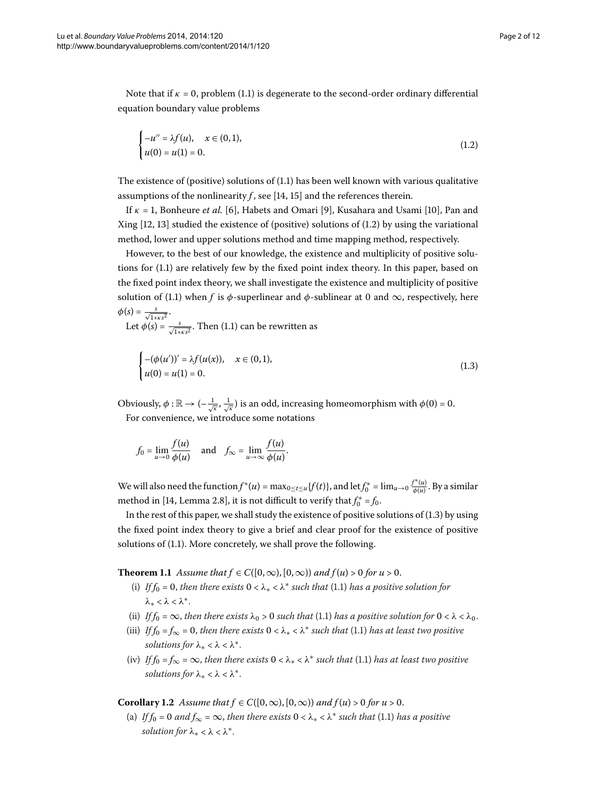Note that if  $\kappa = 0$ , problem (1[.](#page-0-1)1) is degenerate to the second-order ordinary differential equation boundary value problems

<span id="page-1-0"></span>
$$
\begin{cases}\n-u'' = \lambda f(u), & x \in (0,1), \\
u(0) = u(1) = 0.\n\end{cases}
$$
\n(1.2)

The existence of (positive) solutions of  $(1.1)$  has been well known with various qualitative assumptions of the nonlinearity  $f$ , see [\[](#page-11-4)14, 15[\]](#page-11-5) and the references therein.

If  $\kappa = 1$ , Bonheure *et al.* [\[](#page-11-7)6], Habets and Omari [9], Kusahara and Usami [10], Pan and Xing  $[12, 13]$  $[12, 13]$  studied the existence of (positive) solutions of  $(1.2)$  by using the variational method, lower and upper solutions method and time mapping method, respectively.

However, to the best of our knowledge, the existence and multiplicity of positive solutions for  $(1.1)$  $(1.1)$  $(1.1)$  are relatively few by the fixed point index theory. In this paper, based on the fixed point index theory, we shall investigate the existence and multiplicity of positive solution of (1[.](#page-0-1)1) when *f* is  $\phi$ -superlinear and  $\phi$ -sublinear at 0 and  $\infty$ , respectively, here  $\phi(s) = \frac{s}{\sqrt{1 + \kappa s^2}}$ .

Let  $\phi(s) = \frac{s}{\sqrt{1 + \kappa s^2}}$ [.](#page-0-1) Then (1.1) can be rewritten as

<span id="page-1-1"></span>
$$
\begin{cases}\n-(\phi(u'))' = \lambda f(u(x)), & x \in (0,1), \\
u(0) = u(1) = 0.\n\end{cases}
$$
\n(1.3)

Obviously,  $\phi: \mathbb{R} \to (-\frac{1}{\sqrt{\kappa}}, \frac{1}{\sqrt{\kappa}})$  is an odd, increasing homeomorphism with  $\phi(0)$  = 0. For convenience, we introduce some notations

$$
f_0 = \lim_{u \to 0} \frac{f(u)}{\phi(u)}
$$
 and  $f_\infty = \lim_{u \to \infty} \frac{f(u)}{\phi(u)}$ .

<span id="page-1-2"></span>We will also need the function  $f^*(u) = \max_{0 \le t \le u} \{f(t)\}$ , and let  $f_0^* = \lim_{u \to 0} \frac{f^*(u)}{\phi(u)}$ . By a similar method in [\[](#page-11-4)14, Lemma 2.8], it is not difficult to verify that  $f_0^* = f_0$ .

In the rest of this paper, we shall study the existence of positive solutions of  $(1.3)$  by using the fixed point index theory to give a brief and clear proof for the existence of positive solutions of (1.1). More concretely, we shall prove the following.

**Theorem 1.1** Assume that  $f \in C([0,\infty), [0,\infty))$  and  $f(u) > 0$  for  $u > 0$ .

- (i) *If*  $f_0 = 0$ , *then there exists*  $0 < \lambda_* < \lambda^*$  *such that* (1.1) *has a positive solution for λ*<sup>∗</sup> < *λ* < *λ*∗.
- <span id="page-1-3"></span>(ii) *If*  $f_0 = \infty$ , *then there exists*  $\lambda_0 > 0$  *such that* (1[.](#page-0-1)1) *has a positive solution for*  $0 < \lambda < \lambda_0$ *.*
- (iii) *If*  $f_0 = f_\infty = 0$ , then there exists  $0 < \lambda_* < \lambda^*$  such that (1[.](#page-0-1)1) has at least two positive *solutions for*  $\lambda_* < \lambda < \lambda^*$ .
- (iv) *If*  $f_0 = f_\infty = \infty$ , then there exists  $0 < \lambda_* < \lambda^*$  such that (1.1) has at least two positive *solutions for*  $\lambda_* < \lambda < \lambda^*$ .

**Corollary 1.2** *Assume that*  $f \in C([0,\infty), [0,\infty))$  *and*  $f(u) > 0$  for  $u > 0$ .

(a) *If*  $f_0 = 0$  *and*  $f_\infty = \infty$ , *then there exists*  $0 < \lambda_* < \lambda^*$  *such that* (1.1) *has a positive solution for*  $\lambda_* < \lambda < \lambda^*$ .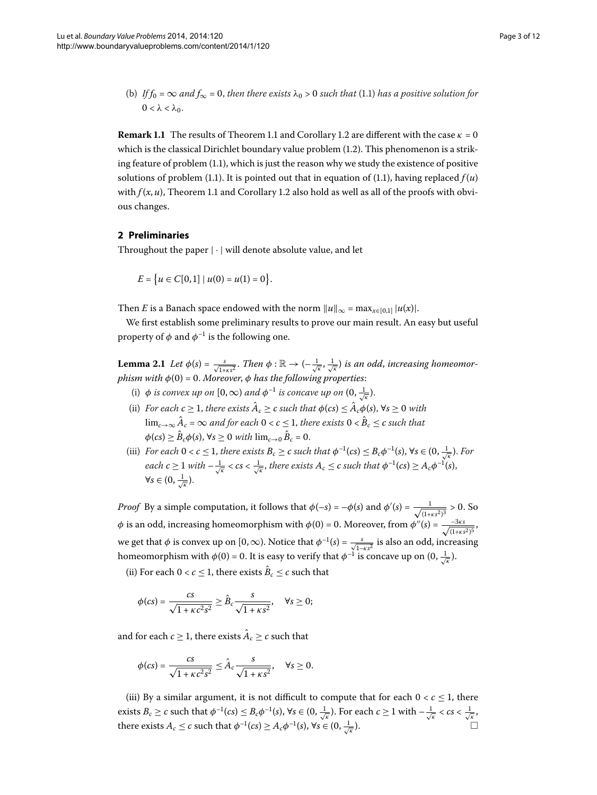(b) *If*  $f_0 = \infty$  *and*  $f_{\infty} = 0$ , *then there exists*  $\lambda_0 > 0$  *such that* (1.1) *has a positive solution for*  $0 < λ < λ_0$ .

**Remark 1[.](#page-1-3)1** The results of Theorem 1.1 and Corollary 1.2 are different with the case  $\kappa = 0$ which is the classical Dirichlet boundary value problem  $(1.2)$ . This phenomenon is a striking feature of problem  $(1.1)$  $(1.1)$  $(1.1)$ , which is just the reason why we study the existence of positive solutions of problem (1[.](#page-0-1)1). It is pointed out that in equation of (1.1), having replaced  $f(u)$ with  $f(x, u)$ , Theorem 1[.](#page-1-3)1 and Corollary 1.2 also hold as well as all of the proofs with obvious changes.

# **2 Preliminaries**

<span id="page-2-0"></span>Throughout the paper  $|\cdot|$  will denote absolute value, and let

$$
E = \{u \in C[0,1] \mid u(0) = u(1) = 0\}.
$$

Then *E* is a Banach space endowed with the norm  $||u||_{\infty} = \max_{x \in [0,1]} |u(x)|$ .

We first establish some preliminary results to prove our main result. An easy but useful property of  $\phi$  and  $\phi^{-1}$  is the following one.

**Lemma 2.1** Let  $\phi(s) = \frac{s}{\sqrt{1+\kappa s^2}}$ . Then  $\phi : \mathbb{R} \to (-\frac{1}{\sqrt{\kappa}}, \frac{1}{\sqrt{\kappa}})$  is an odd, increasing homeomor*phism with*  $\phi(0) = 0$ . *Moreover*,  $\phi$  *has the following properties:* 

- (i)  $\phi$  *is convex up on*  $[0, \infty)$  *and*  $\phi^{-1}$  *is concave up on*  $(0, \frac{1}{\sqrt{\kappa}})$ .
- (ii) *For each*  $c \geq 1$ *, there exists*  $\hat{A}_c \geq c$  *such that*  $\phi(cs) \leq \hat{A}_c \phi(s)$ *,*  $\forall s \geq 0$  *with* lim<sub>c→∞</sub> $\hat{A}_c$  = ∞ *and for each*  $0 < c \le 1$ , *there exists*  $0 < \hat{B}_c \le c$  *such that*  $\phi$ (*cs*)  $\geq \hat{B}_c \phi$ (*s*),  $\forall s \geq 0$  *with*  $\lim_{c \to 0} \hat{B}_c = 0$ .
- (iii) *For each*  $0 < c \leq 1$ , *there exists*  $B_c \geq c$  *such that*  $\phi^{-1}(cs) \leq B_c \phi^{-1}(s)$ ,  $\forall s \in (0, \frac{1}{\sqrt{\kappa}})$ . *For*  $each\ c\geq 1$  with  $-\frac{1}{\sqrt{\kappa}} < c s < \frac{1}{\sqrt{\kappa}},$  there exists  $A_c \leq c$  such that  $\phi^{-1}(c s) \geq A_c \phi^{-1}(s),$  $\forall s\in(0,\frac{1}{\sqrt{\kappa}}).$

*Proof* By a simple computation, it follows that  $\phi(-s) = -\phi(s)$  and  $\phi'(s) = \frac{1}{\sqrt{1 + \kappa s^2}^3} > 0$ . So φ is an odd, increasing homeomorphism with  $φ(0) = 0$ . Moreover, from  $φ''(s) = \frac{-3\kappa s}{\sqrt{(1+\kappa s^2)^5}}$ we get that  $\phi$  is convex up on  $[0, \infty)$ . Notice that  $\phi^{-1}(s) = \frac{s}{\sqrt{1-\kappa s^2}}$  is also an odd, increasing homeomorphism with  $\phi(0)$  = 0. It is easy to verify that  $\phi^{-1}$  is concave up on  $(0,\frac{1}{\sqrt{\kappa}}).$ 

(ii) For each  $0 < c < 1$ , there exists  $\hat{B}_c < c$  such that

$$
\phi (cs) = \frac{cs}{\sqrt{1 + \kappa c^2 s^2}} \geq \hat{B}_c \frac{s}{\sqrt{1 + \kappa s^2}}, \quad \forall s \geq 0;
$$

and for each  $c \geq 1$ , there exists  $\hat{A}_c \geq c$  such that

$$
\phi(cs) = \frac{cs}{\sqrt{1 + \kappa c^2 s^2}} \leq \hat{A}_c \frac{s}{\sqrt{1 + \kappa s^2}}, \quad \forall s \geq 0.
$$

(iii) By a similar argument, it is not difficult to compute that for each  $0 < c \le 1$ , there exists  $B_c \geq c$  such that  $\phi^{-1}(cs) \leq B_c \phi^{-1}(s)$ ,  $\forall s \in (0, \frac{1}{\sqrt{k}})$ . For each  $c \geq 1$  with  $-\frac{1}{\sqrt{k}} < cs < \frac{1}{\sqrt{k}}$ , there exists  $A_c \le c$  such that  $\phi^{-1}(cs) \ge A_c \phi^{-1}(s)$ ,  $\forall s \in (0, \frac{1}{\sqrt{\kappa}})$ .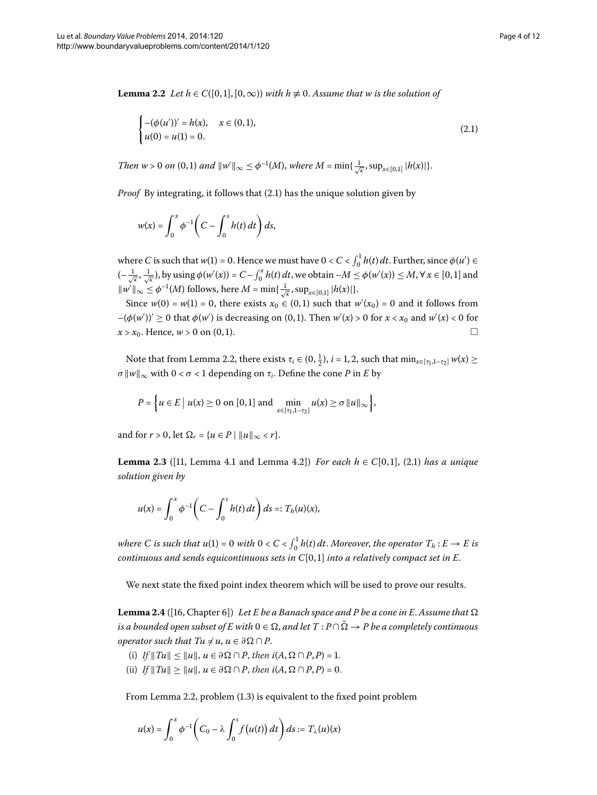<span id="page-3-1"></span>**Lemma 2.2** *Let*  $h \in C([0,1], [0,\infty))$  *with*  $h \not\equiv 0$ . Assume that w is the solution of

<span id="page-3-0"></span>
$$
\begin{cases}\n-(\phi(u'))' = h(x), & x \in (0,1), \\
u(0) = u(1) = 0.\n\end{cases}
$$
\n(2.1)

*Then*  $w > 0$  *on*  $(0, 1)$  *and*  $||w'||_{\infty} \leq \phi^{-1}(M)$ , *where*  $M = \min\{\frac{1}{\sqrt{\kappa}}, \sup_{x \in [0,1]} |h(x)|\}.$ 

*Proof* By integrating, it follows that (2[.](#page-3-0)1) has the unique solution given by

$$
w(x) = \int_0^x \phi^{-1} \left( C - \int_0^s h(t) dt \right) ds,
$$

where *C* is such that  $w(1) = 0$ . Hence we must have  $0 < C < \int_0^1 h(t) dt$ . Further, since  $\phi(u') \in$  $(-\frac{1}{\sqrt{\kappa}}, \frac{1}{\sqrt{\kappa}})$ , by using  $\phi(w'(x)) = C - \int_0^x h(t) dt$ , we obtain  $-M \leq \phi(w'(x)) \leq M$ ,  $\forall x \in [0,1]$  and  $\|w'\|_{\infty} \leq \phi^{-1}(M)$  follows, here  $M = \min\{\frac{1}{\sqrt{\kappa}}, \sup_{x \in [0,1]} |h(x)|\}.$ 

Since  $w(0) = w(1) = 0$ , there exists  $x_0 \in (0,1)$  such that  $w'(x_0) = 0$  and it follows from  $-(\phi(w'))' \geq 0$  that  $\phi(w')$  is decreasing on (0,1). Then  $w'(x) > 0$  for  $x < x_0$  and  $w'(x) < 0$  for  $x > x_0$ . Hence,  $w > 0$  on (0, 1).

Note that from Lemma 2[.](#page-3-1)2, there exists  $\tau_i \in (0, \frac{1}{2})$ ,  $i = 1, 2$ , such that  $\min_{x \in [\tau_1, 1 - \tau_2]} w(x) \ge$  $\sigma \|w\|_{\infty}$  with  $0 < \sigma < 1$  depending on  $\tau_i$ . Define the cone *P* in *E* by

<span id="page-3-2"></span>
$$
P = \left\{ u \in E \mid u(x) \ge 0 \text{ on } [0,1] \text{ and } \min_{x \in [\tau_1,1-\tau_2]} u(x) \ge \sigma \|u\|_{\infty} \right\},\
$$

and for  $r > 0$ , let  $\Omega_r = \{u \in P \mid ||u||_{\infty} < r\}.$ 

**Lemma 2.3** ([11, Lemma 4.1 and Lemma 4.2]) *For each h*  $\in C[0,1]$ , (2.1) *has a unique solution given by*

<span id="page-3-3"></span>
$$
u(x) = \int_0^x \phi^{-1} \bigg( C - \int_0^s h(t) \, dt \bigg) \, ds =: T_h(u)(x),
$$

where C is such that  $u(1) = 0$  with  $0 < C < \int_0^1 h(t) dt$ . Moreover, the operator  $T_h: E \to E$  is *continuous and sends equicontinuous sets in C*[0,1] *into a relatively compact set in E*.

We next state the fixed point index theorem which will be used to prove our results.

**Lemma 2.4** ([\[](#page-11-11)16, Chapter 6]) Let E be a Banach space and P be a cone in E. Assume that  $\Omega$ *is a bounded open subset of E with*  $0 \in \Omega$ , *and let*  $T$  :  $P \cap \overline{\Omega} \to P$  *be a completely continuous operator such that Tu*  $\neq u, u \in \partial \Omega \cap P$ *.* 

- (i) *If*  $||Tu|| \le ||u||$ ,  $u \in \partial \Omega \cap P$ , then  $i(A, \Omega \cap P, P) = 1$ .
- (ii) *If*  $||Tu|| \ge ||u||$ ,  $u \in \partial \Omega \cap P$ , then  $i(A, \Omega \cap P, P) = 0$ .

From Lemma 2[.](#page-3-1)2, problem  $(1.3)$  is equivalent to the fixed point problem

$$
u(x) = \int_0^x \phi^{-1}\bigg(C_0 - \lambda \int_0^s f(u(t)) dt\bigg) ds := T_\lambda(u)(x)
$$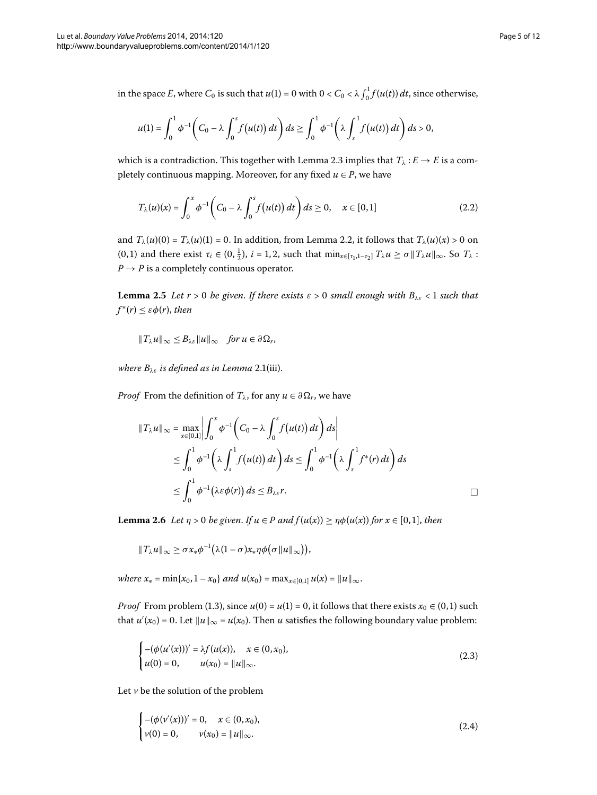in the space *E*, where  $C_0$  is such that  $u(1) = 0$  with  $0 < C_0 < \lambda \int_0^1 f(u(t)) dt$ , since otherwise,

$$
u(1) = \int_0^1 \phi^{-1}\bigg(C_0 - \lambda \int_0^s f(u(t)) dt\bigg) ds \ge \int_0^1 \phi^{-1}\bigg(\lambda \int_s^1 f(u(t)) dt\bigg) ds > 0,
$$

which is a contradiction[.](#page-3-2) This together with Lemma 2.3 implies that  $T_{\lambda}: E \to E$  is a completely continuous mapping. Moreover, for any fixed  $u \in P$ , we have

$$
T_{\lambda}(u)(x) = \int_0^x \phi^{-1}\bigg(C_0 - \lambda \int_0^s f(u(t)) dt\bigg) ds \ge 0, \quad x \in [0,1]
$$
\n(2.2)

<span id="page-4-1"></span>and  $T_\lambda(u)(0) = T_\lambda(u)(1) = 0$ . In addition, from Lemma 2.2, it follows that  $T_\lambda(u)(x) > 0$  on  $(0, 1)$  and there exist  $\tau_i \in (0, \frac{1}{2})$ ,  $i = 1, 2$ , such that  $\min_{x \in [\tau_1, 1 - \tau_2]} T_\lambda u \ge \sigma \|T_\lambda u\|_\infty$ . So  $T_\lambda$ :  $P \rightarrow P$  is a completely continuous operator.

**Lemma 2.5** Let  $r > 0$  be given. If there exists  $\varepsilon > 0$  small enough with  $B_{\lambda \varepsilon} < 1$  such that  $f^*(r) \leq \varepsilon \phi(r)$ , *then* 

$$
||T_{\lambda}u||_{\infty} \leq B_{\lambda\varepsilon}||u||_{\infty} \quad \text{for } u \in \partial \Omega_r,
$$

*where*  $B_{\lambda \varepsilon}$  *is defined as in Lemma* 2.1(iii).

<span id="page-4-0"></span>*Proof* From the definition of  $T_{\lambda}$ , for any  $u \in \partial \Omega_r$ , we have

$$
||T_{\lambda}u||_{\infty} = \max_{x \in [0,1]} \left| \int_0^x \phi^{-1} \left( C_0 - \lambda \int_0^s f(u(t)) dt \right) ds \right|
$$
  
\n
$$
\leq \int_0^1 \phi^{-1} \left( \lambda \int_s^1 f(u(t)) dt \right) ds \leq \int_0^1 \phi^{-1} \left( \lambda \int_s^1 f^*(r) dt \right) ds
$$
  
\n
$$
\leq \int_0^1 \phi^{-1} (\lambda \varepsilon \phi(r)) ds \leq B_{\lambda \varepsilon} r.
$$

**Lemma 2.6** Let  $\eta > 0$  be given. If  $u \in P$  and  $f(u(x)) \geq \eta \phi(u(x))$  for  $x \in [0,1]$ , then

$$
||T_{\lambda}u||_{\infty} \geq \sigma x_{*} \phi^{-1}(\lambda (1-\sigma)x_{*} \eta \phi(\sigma ||u||_{\infty})),
$$

*where*  $x_* = \min\{x_0, 1 - x_0\}$  *and*  $u(x_0) = \max_{x \in [0,1]} u(x) = ||u||_{\infty}$ .

*Proof* From problem (1[.](#page-1-1)3), since  $u(0) = u(1) = 0$ , it follows that there exists  $x_0 \in (0,1)$  such that  $u'(x_0) = 0$ . Let  $||u||_{\infty} = u(x_0)$ . Then *u* satisfies the following boundary value problem:

$$
\begin{cases}\n-(\phi(u'(x)))' = \lambda f(u(x)), & x \in (0, x_0), \\
u(0) = 0, & u(x_0) = ||u||_{\infty}.\n\end{cases}
$$
\n(2.3)

Let  $\nu$  be the solution of the problem

$$
\begin{cases}\n-(\phi(\nu'(x)))' = 0, & x \in (0, x_0), \\
\nu(0) = 0, & \nu(x_0) = ||u||_{\infty}.\n\end{cases}
$$
\n(2.4)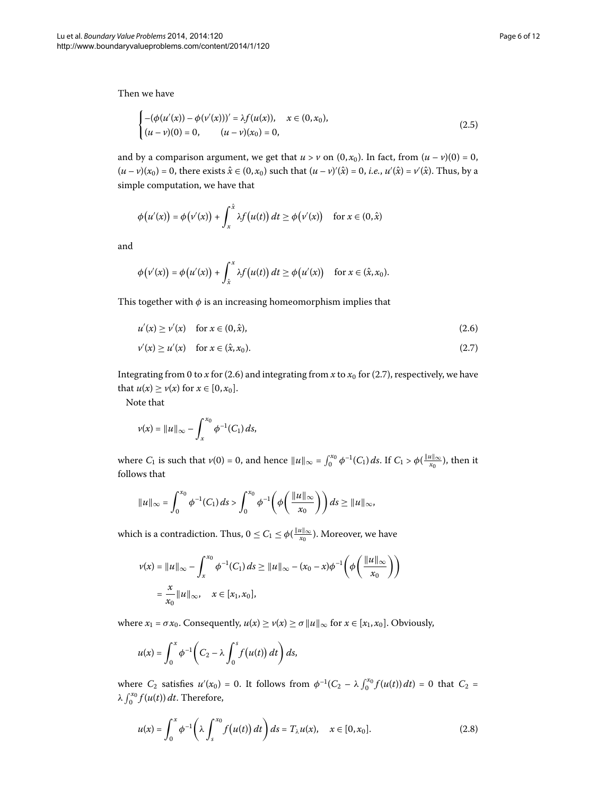Then we have i,

$$
\begin{cases}\n-(\phi(u'(x)) - \phi(v'(x)))' = \lambda f(u(x)), & x \in (0, x_0), \\
(u - v)(0) = 0, & (u - v)(x_0) = 0,\n\end{cases}
$$
\n(2.5)

and by a comparison argument, we get that  $u > v$  on  $(0, x_0)$ . In fact, from  $(u - v)(0) = 0$ ,  $(u - v)(x_0) = 0$ , there exists  $\hat{x} \in (0, x_0)$  such that  $(u - v)'(\hat{x}) = 0$ , *i.e.*,  $u'(\hat{x}) = v'(\hat{x})$ . Thus, by a simple computation, we have that

<span id="page-5-0"></span>
$$
\phi(u'(x)) = \phi(v'(x)) + \int_x^{\hat{x}} \lambda f(u(t)) dt \ge \phi(v'(x)) \quad \text{for } x \in (0, \hat{x})
$$

and

<span id="page-5-1"></span>
$$
\phi(v'(x)) = \phi(u'(x)) + \int_{\hat{x}}^{x} \lambda f(u(t)) dt \geq \phi(u'(x)) \quad \text{for } x \in (\hat{x}, x_0).
$$

This together with  $\phi$  is an increasing homeomorphism implies that

$$
u'(x) \ge v'(x) \quad \text{for } x \in (0, \hat{x}), \tag{2.6}
$$

$$
\nu'(x) \ge \nu'(x) \quad \text{for } x \in (\hat{x}, x_0). \tag{2.7}
$$

Integrating from 0 to *x* for (2.6) and integrating from *x* to  $x_0$  for (2.7), respectively, we have that  $u(x) \ge v(x)$  for  $x \in [0, x_0]$ .

Note that

$$
\nu(x) = \|u\|_{\infty} - \int_{x}^{x_0} \phi^{-1}(C_1) ds,
$$

where  $C_1$  is such that  $v(0) = 0$ , and hence  $||u||_{\infty} = \int_0^{x_0} \phi^{-1}(C_1) ds$ . If  $C_1 > \phi(\frac{||u||_{\infty}}{x_0})$ , then it follows that

$$
\|u\|_{\infty} = \int_0^{x_0} \phi^{-1}(C_1) ds > \int_0^{x_0} \phi^{-1}\left(\phi\left(\frac{\|u\|_{\infty}}{x_0}\right)\right) ds \ge \|u\|_{\infty},
$$

which is a contradiction. Thus,  $0 \leq C_1 \leq \phi(\frac{\|u\|_\infty}{x_0})$ . Moreover, we have

$$
\nu(x) = \|u\|_{\infty} - \int_{x}^{x_0} \phi^{-1}(C_1) ds \ge \|u\|_{\infty} - (x_0 - x)\phi^{-1}\left(\phi\left(\frac{\|u\|_{\infty}}{x_0}\right)\right)
$$

$$
= \frac{x}{x_0} \|u\|_{\infty}, \quad x \in [x_1, x_0],
$$

where  $x_1 = \sigma x_0$ . Consequently,  $u(x) \ge v(x) \ge \sigma ||u||_{\infty}$  for  $x \in [x_1, x_0]$ . Obviously,

<span id="page-5-2"></span>
$$
u(x) = \int_0^x \phi^{-1}\bigg(C_2 - \lambda \int_0^s f(u(t)) dt\bigg) ds,
$$

where  $C_2$  satisfies  $u'(x_0) = 0$ . It follows from  $\phi^{-1}(C_2 - \lambda \int_0^{x_0} f(u(t)) dt) = 0$  that  $C_2 =$  $λ \int_0^{x_0} f(u(t)) dt$ . Therefore,

$$
u(x) = \int_0^x \phi^{-1}\bigg(\lambda \int_s^{x_0} f(u(t))\,dt\bigg)\,ds = T_\lambda u(x), \quad x \in [0, x_0].\tag{2.8}
$$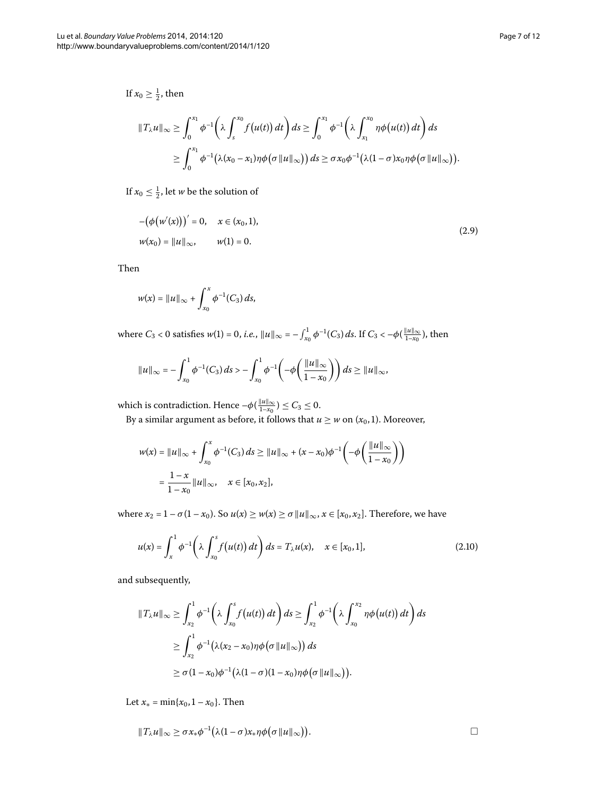If  $x_0 \geq \frac{1}{2}$ , then

$$
\begin{aligned} ||T_{\lambda}u||_{\infty} &\geq \int_0^{x_1} \phi^{-1}\bigg(\lambda \int_s^{x_0} f(u(t))\,dt\bigg) ds \geq \int_0^{x_1} \phi^{-1}\bigg(\lambda \int_{x_1}^{x_0} \eta \phi(u(t))\,dt\bigg) ds \\ &\geq \int_0^{x_1} \phi^{-1}\big(\lambda(x_0-x_1)\eta \phi\big(\sigma \|u\|_{\infty}\big)\big) ds \geq \sigma x_0 \phi^{-1}\big(\lambda(1-\sigma)x_0\eta \phi\big(\sigma \|u\|_{\infty}\big)\big). \end{aligned}
$$

If  $x_0 \leq \frac{1}{2}$ , let *w* be the solution of

$$
-(\phi(w'(x)))' = 0, \quad x \in (x_0, 1),
$$
  

$$
w(x_0) = ||u||_{\infty}, \qquad w(1) = 0.
$$
 (2.9)

Then

$$
w(x) = ||u||_{\infty} + \int_{x_0}^x \phi^{-1}(C_3) ds,
$$

where  $C_3 < 0$  satisfies  $w(1) = 0$ , *i.e.*,  $||u||_{\infty} = -\int_{x_0}^1 \phi^{-1}(C_3) ds$ . If  $C_3 < -\phi(\frac{||u||_{\infty}}{1-x_0})$ , then

$$
\|u\|_{\infty} = -\int_{x_0}^1 \phi^{-1}(C_3) ds > -\int_{x_0}^1 \phi^{-1}\left(-\phi\left(\frac{\|u\|_{\infty}}{1-x_0}\right)\right) ds \ge \|u\|_{\infty},
$$

which is contradiction. Hence  $-\phi(\frac{\|u\|_\infty}{1-x_0}) \leq C_3 \leq 0$ .

By a similar argument as before, it follows that  $u \geq w$  on  $(x_0, 1)$ . Moreover,

<span id="page-6-0"></span>
$$
w(x) = \|u\|_{\infty} + \int_{x_0}^x \phi^{-1}(C_3) ds \ge \|u\|_{\infty} + (x - x_0)\phi^{-1}\left(-\phi\left(\frac{\|u\|_{\infty}}{1 - x_0}\right)\right)
$$
  
=  $\frac{1 - x}{1 - x_0} \|u\|_{\infty}, \quad x \in [x_0, x_2],$ 

where  $x_2 = 1 - \sigma(1 - x_0)$ . So  $u(x) \ge w(x) \ge \sigma ||u||_{\infty}$ ,  $x \in [x_0, x_2]$ . Therefore, we have

$$
u(x) = \int_{x}^{1} \phi^{-1}\left(\lambda \int_{x_0}^{s} f(u(t)) dt\right) ds = T_{\lambda} u(x), \quad x \in [x_0, 1],
$$
 (2.10)

and subsequently,

$$
\begin{split} ||T_{\lambda}u||_{\infty} &\geq \int_{x_2}^1 \phi^{-1}\bigg(\lambda \int_{x_0}^s f\big(u(t)\bigg) \, dt\bigg) \, ds \geq \int_{x_2}^1 \phi^{-1}\bigg(\lambda \int_{x_0}^{x_2} \eta \phi\big(u(t)\bigg) \, dt\bigg) \, ds \\ &\geq \int_{x_2}^1 \phi^{-1}\big(\lambda(x_2 - x_0)\eta \phi\big(\sigma \, ||u||_{\infty}\big)\big) \, ds \\ &\geq \sigma(1-x_0)\phi^{-1}\big(\lambda(1-\sigma)(1-x_0)\eta \phi\big(\sigma \, ||u||_{\infty}\big)\big). \end{split}
$$

Let  $x_* = \min\{x_0, 1 - x_0\}$ . Then

$$
||T_{\lambda}u||_{\infty} \geq \sigma x_{*} \phi^{-1}(\lambda(1-\sigma)x_{*}\eta\phi(\sigma||u||_{\infty})).
$$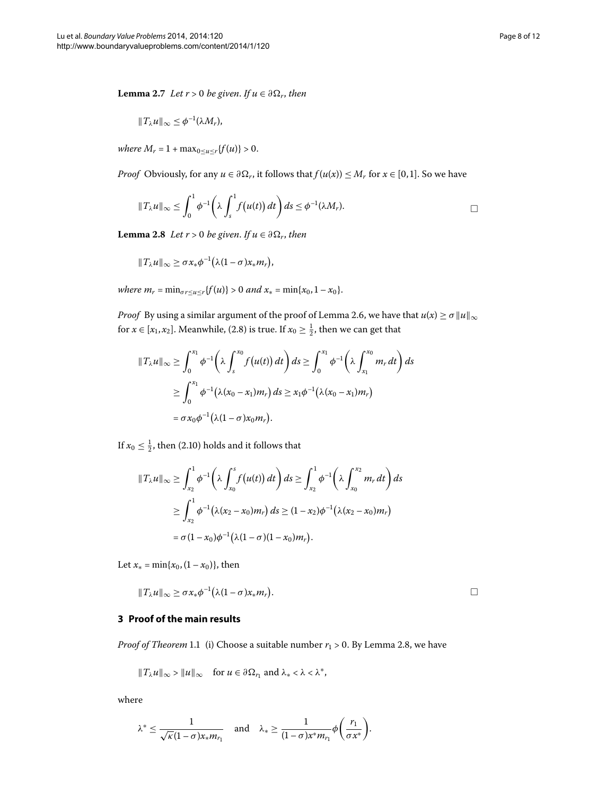<span id="page-7-1"></span>**Lemma 2.7** *Let*  $r > 0$  *be given. If*  $u \in \partial \Omega_r$ *, then* 

$$
||T_{\lambda}u||_{\infty}\leq \phi^{-1}(\lambda M_{r}),
$$

<span id="page-7-0"></span> $where M_r = 1 + max_{0 \le u \le r} {f(u)} > 0.$ 

*Proof* Obviously, for any  $u \in \partial \Omega_r$ , it follows that  $f(u(x)) \leq M_r$  for  $x \in [0,1]$ . So we have

$$
||T_{\lambda}u||_{\infty}\leq \int_0^1\phi^{-1}\bigg(\lambda\int_s^1 f(u(t))\,dt\bigg)\,ds\leq \phi^{-1}(\lambda M_r).
$$

**Lemma 2.8** *Let*  $r > 0$  *be given. If*  $u \in \partial \Omega_r$ *, then* 

$$
||T_{\lambda}u||_{\infty}\geq \sigma x_{*}\phi^{-1}(\lambda(1-\sigma)x_{*}m_{r}),
$$

*where*  $m_r = \min_{\sigma r \le u \le r} \{f(u)\} > 0$  and  $x_* = \min\{x_0, 1 - x_0\}.$ 

*Proof* By using a similar argument of the proof of Lemma 2[.](#page-4-0)6, we have that  $u(x) \ge \sigma ||u||_{\infty}$ for  $x \in [x_1, x_2]$ [.](#page-5-2) Meanwhile, (2.8) is true. If  $x_0 \ge \frac{1}{2}$ , then we can get that

$$
||T_{\lambda}u||_{\infty} \geq \int_0^{x_1} \phi^{-1} \left(\lambda \int_s^{x_0} f(u(t)) dt\right) ds \geq \int_0^{x_1} \phi^{-1} \left(\lambda \int_{x_1}^{x_0} m_r dt\right) ds
$$
  

$$
\geq \int_0^{x_1} \phi^{-1} \left(\lambda (x_0 - x_1) m_r\right) ds \geq x_1 \phi^{-1} \left(\lambda (x_0 - x_1) m_r\right)
$$
  

$$
= \sigma x_0 \phi^{-1} \left(\lambda (1 - \sigma) x_0 m_r\right).
$$

If  $x_0 \leq \frac{1}{2}$ , then (2.10) holds and it follows that

$$
||T_{\lambda}u||_{\infty} \geq \int_{x_2}^1 \phi^{-1} \left(\lambda \int_{x_0}^s f(u(t)) dt\right) ds \geq \int_{x_2}^1 \phi^{-1} \left(\lambda \int_{x_0}^{x_2} m_r dt\right) ds
$$
  
 
$$
\geq \int_{x_2}^1 \phi^{-1} \left(\lambda (x_2 - x_0) m_r\right) ds \geq (1 - x_2) \phi^{-1} \left(\lambda (x_2 - x_0) m_r\right)
$$
  
=  $\sigma (1 - x_0) \phi^{-1} \left(\lambda (1 - \sigma) (1 - x_0) m_r\right).$ 

Let  $x_* = \min\{x_0, (1 - x_0)\}\)$ , then

$$
||T_{\lambda}u||_{\infty}\geq \sigma x_{*}\phi^{-1}(\lambda(1-\sigma)x_{*}m_{r}).
$$

## **3 Proof of the main results**

*Proof of Theorem* 1[.](#page-1-2)1 (i) Choose a suitable number  $r_1 > 0$ . By Lemma 2.8, we have

$$
||T_{\lambda}u||_{\infty} > ||u||_{\infty}
$$
 for  $u \in \partial \Omega_{r_1}$  and  $\lambda_* < \lambda < \lambda^*$ ,

where

$$
\lambda^* \leq \frac{1}{\sqrt{\kappa(1-\sigma)}x_*m_{r_1}} \quad \text{and} \quad \lambda_* \geq \frac{1}{(1-\sigma)x^*m_{r_1}}\phi\bigg(\frac{r_1}{\sigma x^*}\bigg).
$$

 $\Box$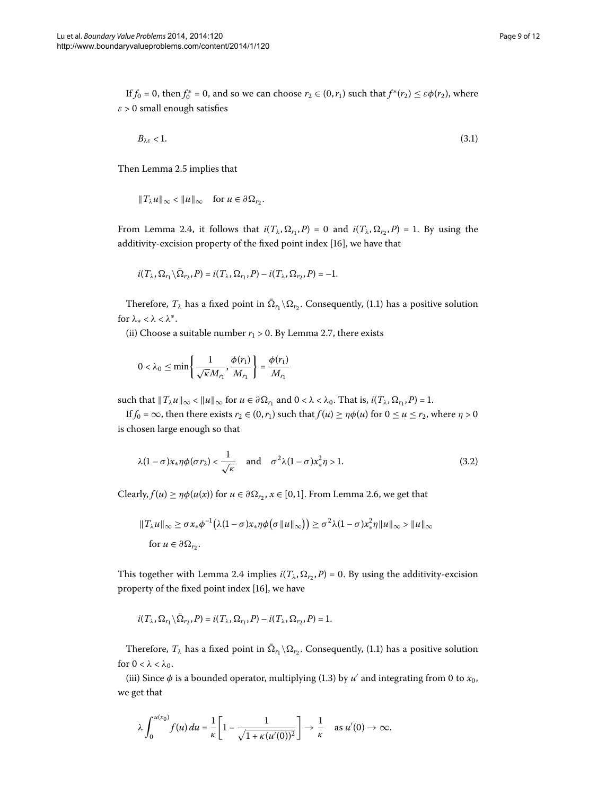If  $f_0 = 0$ , then  $f_0^* = 0$ , and so we can choose  $r_2 \in (0, r_1)$  such that  $f^*(r_2) \leq \varepsilon \phi(r_2)$ , where  $\varepsilon$  > 0 small enough satisfies

$$
B_{\lambda\varepsilon} < 1. \tag{3.1}
$$

Then Lemma 2[.](#page-4-1)5 implies that

$$
||T_{\lambda}u||_{\infty} < ||u||_{\infty} \quad \text{for } u \in \partial \Omega_{r_2}.
$$

From Lemma 2.4, it follows that  $i(T_\lambda, \Omega_{r_1}, P) = 0$  and  $i(T_\lambda, \Omega_{r_2}, P) = 1$ . By using the additivity-excision property of the fixed point index [16[\]](#page-11-11), we have that

$$
i(T_{\lambda}, \Omega_{r_1} \backslash \overline{\Omega}_{r_2}, P) = i(T_{\lambda}, \Omega_{r_1}, P) - i(T_{\lambda}, \Omega_{r_2}, P) = -1.
$$

Therefore,  $T_\lambda$  has a fixed point in  $\overline{\Omega}_{r_1} \setminus \Omega_{r_2}$ [.](#page-0-1) Consequently, (1.1) has a positive solution for *λ*<sup>∗</sup> < *λ* < *λ*∗.

(ii) Choose a suitable number  $r_1 > 0$ [.](#page-7-1) By Lemma 2.7, there exists

$$
0 < \lambda_0 \le \min\left\{\frac{1}{\sqrt{\kappa}M_{r_1}}, \frac{\phi(r_1)}{M_{r_1}}\right\} = \frac{\phi(r_1)}{M_{r_1}}
$$

such that  $||T_\lambda u||_\infty < ||u||_\infty$  for  $u \in \partial \Omega_{r_1}$  and  $0 < \lambda < \lambda_0$ . That is,  $i(T_\lambda, \Omega_{r_1}, P) = 1$ .

If  $f_0 = \infty$ , then there exists  $r_2 \in (0, r_1)$  such that  $f(u) \ge \eta \phi(u)$  for  $0 \le u \le r_2$ , where  $\eta > 0$ is chosen large enough so that

$$
\lambda(1-\sigma)x_*\eta\phi(\sigma r_2) < \frac{1}{\sqrt{\kappa}} \quad \text{and} \quad \sigma^2\lambda(1-\sigma)x_*^2\eta > 1. \tag{3.2}
$$

Clearly,  $f(u) \ge \eta \phi(u(x))$  for  $u \in \partial \Omega_{r_2}$ ,  $x \in [0,1]$ [.](#page-4-0) From Lemma 2.6, we get that

$$
||T_{\lambda}u||_{\infty} \geq \sigma x_{*} \phi^{-1}(\lambda (1-\sigma)x_{*}\eta \phi(\sigma ||u||_{\infty})) \geq \sigma^{2}\lambda (1-\sigma)x_{*}^{2}\eta ||u||_{\infty} > ||u||_{\infty}
$$
  
for  $u \in \partial \Omega_{r_{2}}$ .

This together with Lemma 2[.](#page-3-3)4 implies  $i(T_\lambda, \Omega_r, P) = 0$ . By using the additivity-excision property of the fixed point index [\[](#page-11-11)16], we have

$$
i(T_{\lambda}, \Omega_{r_1} \backslash \overline{\Omega}_{r_2}, P) = i(T_{\lambda}, \Omega_{r_1}, P) - i(T_{\lambda}, \Omega_{r_2}, P) = 1.
$$

Therefore,  $T_{\lambda}$  has a fixed point in  $\overline{\Omega}_{r_1} \backslash \Omega_{r_2}$ [.](#page-0-1) Consequently, (1.1) has a positive solution for  $0 < \lambda < \lambda_0$ .

(iii) Since  $\phi$  is a bounded operator, multiplying (1[.](#page-1-1)3) by *u'* and integrating from 0 to  $x_0$ , we get that

$$
\lambda \int_0^{u(x_0)} f(u) du = \frac{1}{\kappa} \left[ 1 - \frac{1}{\sqrt{1 + \kappa (u'(0))^2}} \right] \to \frac{1}{\kappa} \quad \text{as } u'(0) \to \infty.
$$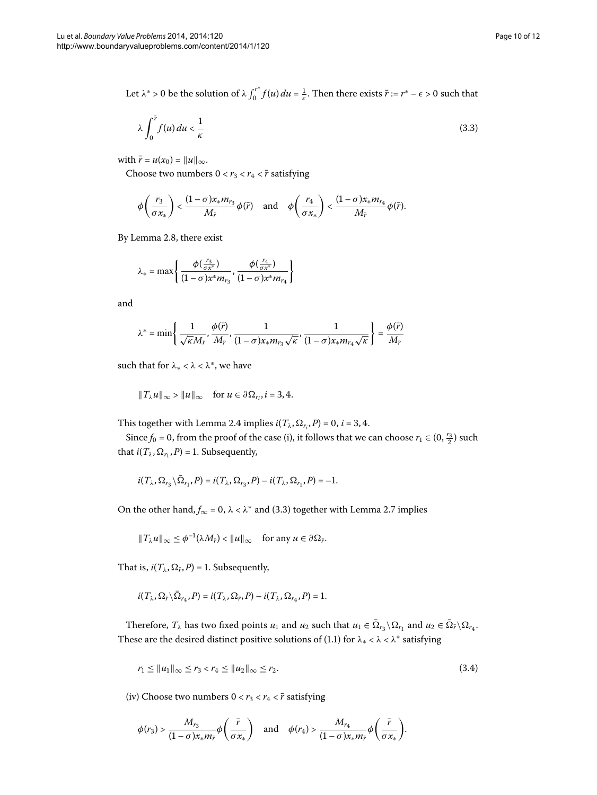Let  $\lambda^* > 0$  be the solution of  $\lambda \int_0^{r^*} f(u) du = \frac{1}{\kappa}$ . Then there exists  $\bar{r} := r^* - \epsilon > 0$  such that

<span id="page-9-0"></span>
$$
\lambda \int_0^{\bar{r}} f(u) du < \frac{1}{\kappa} \tag{3.3}
$$

with  $\bar{r} = u(x_0) = ||u||_{\infty}$ .

Choose two numbers  $0 < r_3 < r_4 < \bar{r}$  satisfying

$$
\phi\left(\frac{r_3}{\sigma x_*}\right) < \frac{(1-\sigma)x_*m_{r_3}}{M_{\bar{r}}} \phi(\bar{r}) \quad \text{and} \quad \phi\left(\frac{r_4}{\sigma x_*}\right) < \frac{(1-\sigma)x_*m_{r_4}}{M_{\bar{r}}} \phi(\bar{r}).
$$

By Lemma 2.8, there exist

$$
\lambda_*=\max\left\{\frac{\phi(\frac{r_3}{\sigma x^*})}{(1-\sigma)x^*m_{r_3}},\frac{\phi(\frac{r_4}{\sigma x^*})}{(1-\sigma)x^*m_{r_4}}\right\}
$$

and

$$
\lambda^*=\min\left\{\frac{1}{\sqrt{\kappa}M_{\bar{r}}},\frac{\phi(\bar{r})}{M_{\bar{r}}},\frac{1}{(1-\sigma)x_*m_{r_3}\sqrt{\kappa}},\frac{1}{(1-\sigma)x_*m_{r_4}\sqrt{\kappa}}\right\}=\frac{\phi(\bar{r})}{M_{\bar{r}}}
$$

such that for *λ*<sup>∗</sup> < *λ* < *λ*∗, we have

$$
||T_{\lambda}u||_{\infty} > ||u||_{\infty}
$$
 for  $u \in \partial \Omega_{r_i}$ ,  $i = 3, 4$ .

This together with Lemma 2[.](#page-3-3)4 implies  $i(T_{\lambda}, \Omega_{r_i}, P) = 0$ ,  $i = 3, 4$ .

Since  $f_0 = 0$ , from the proof of the case (i), it follows that we can choose  $r_1 \in (0, \frac{r_3}{2})$  such that  $i(T_\lambda, \Omega_{r_1}, P) = 1$ . Subsequently,

$$
i(T_{\lambda}, \Omega_{r_3} \setminus \overline{\Omega}_{r_1}, P) = i(T_{\lambda}, \Omega_{r_3}, P) - i(T_{\lambda}, \Omega_{r_1}, P) = -1.
$$

On the other hand,  $f_{\infty} = 0$ ,  $\lambda < \lambda^*$  and (3[.](#page-7-1)3) together with Lemma 2.7 implies

$$
||T_{\lambda}u||_{\infty} \leq \phi^{-1}(\lambda M_{\bar{r}}) < ||u||_{\infty} \quad \text{for any } u \in \partial \Omega_{\bar{r}}.
$$

That is,  $i(T_{\lambda}, \Omega_{\bar{r}}, P) = 1$ . Subsequently,

<span id="page-9-1"></span>
$$
i(T_{\lambda}, \Omega_{\bar{r}} \setminus \overline{\Omega}_{r_4}, P) = i(T_{\lambda}, \Omega_{\bar{r}}, P) - i(T_{\lambda}, \Omega_{r_4}, P) = 1.
$$

Therefore,  $T_{\lambda}$  has two fixed points  $u_1$  and  $u_2$  such that  $u_1 \in \bar{\Omega}_{r_3} \setminus \Omega_{r_1}$  and  $u_2 \in \bar{\Omega}_{\bar{r}} \setminus \Omega_{r_4}$ . These are the desired distinct positive solutions of (1[.](#page-0-1)1) for  $λ_* < λ < λ^*$  satisfying

$$
r_1 \le ||u_1||_{\infty} \le r_3 < r_4 \le ||u_2||_{\infty} \le r_2. \tag{3.4}
$$

(iv) Choose two numbers  $0 < r_3 < r_4 < \bar{r}$  satisfying

$$
\phi(r_3) > \frac{M_{r_3}}{(1-\sigma)x_*m_{\overline{r}}}\phi\left(\frac{\overline{r}}{\sigma x_*}\right) \quad \text{and} \quad \phi(r_4) > \frac{M_{r_4}}{(1-\sigma)x_*m_{\overline{r}}}\phi\left(\frac{\overline{r}}{\sigma x_*}\right).
$$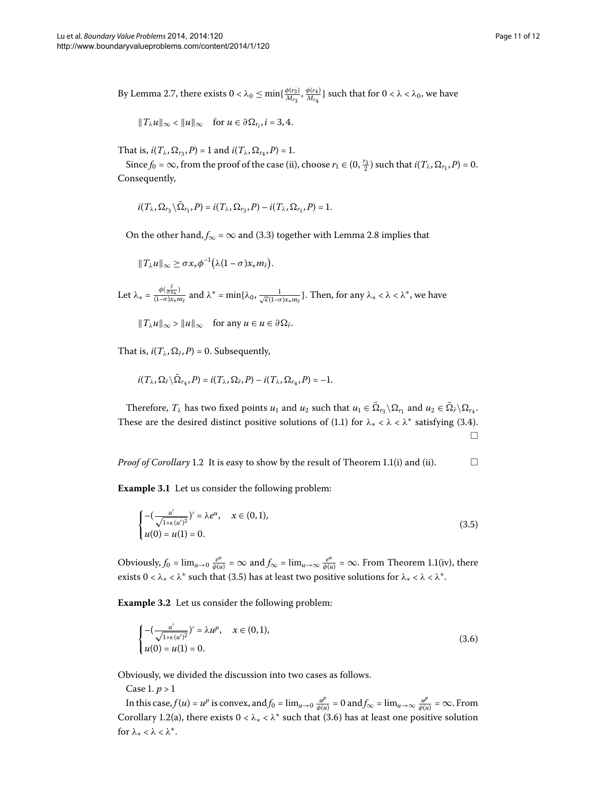By Lemma 2.7, there exists  $0 < \lambda_0 \le \min\{\frac{\phi(r_3)}{M_{r_3}}, \frac{\phi(r_4)}{M_{r_4}}\}$  such that for  $0 < \lambda < \lambda_0$ , we have

$$
\|T_\lambda u\|_\infty<\|u\|_\infty\quad\text{for }u\in\partial\Omega_{r_i},i=3,4.
$$

That is,  $i(T_\lambda, \Omega_{r_3}, P) = 1$  and  $i(T_\lambda, \Omega_{r_4}, P) = 1$ .

Since  $f_0 = \infty$ , from the proof of the case (ii), choose  $r_1 \in (0, \frac{r_3}{2})$  such that  $i(T_\lambda, \Omega_{r_1}, P) = 0$ . Consequently,

$$
i(T_{\lambda},\Omega_{r_3}\backslash \bar \Omega_{r_1},P)=i(T_{\lambda},\Omega_{r_3},P)-i(T_{\lambda},\Omega_{r_1},P)=1.
$$

On the other hand,  $f_{\infty} = \infty$  and (3[.](#page-7-0)3) together with Lemma 2.8 implies that

$$
||T_{\lambda}u||_{\infty}\geq \sigma x_{*}\phi^{-1}(\lambda(1-\sigma)x_{*}m_{\bar{r}}).
$$

Let  $\lambda_* = \frac{\phi(\frac{\bar{r}}{\sigma x_*})}{(1-\sigma)x_*m_{\bar{r}}}$  and  $\lambda^* = \min\{\lambda_0, \frac{1}{\sqrt{\kappa}(1-\sigma)x_*m_{\bar{r}}}\}\.$  Then, for any  $\lambda_* < \lambda < \lambda^*$ , we have

 $||T_\lambda u||_\infty$  >  $||u||_\infty$  for any  $u \in u \in \partial \Omega_{\bar{r}}$ .

That is,  $i(T_{\lambda}, \Omega_{\bar{r}}, P) = 0$ . Subsequently,

<span id="page-10-0"></span>
$$
i(T_{\lambda}, \Omega_{\bar{r}} \setminus \overline{\Omega}_{r_4}, P) = i(T_{\lambda}, \Omega_{\bar{r}}, P) - i(T_{\lambda}, \Omega_{r_4}, P) = -1.
$$

Therefore,  $T_{\lambda}$  has two fixed points  $u_1$  and  $u_2$  such that  $u_1 \in \overline{\Omega}_{r_3} \setminus \Omega_{r_1}$  and  $u_2 \in \overline{\Omega}_{\overline{r}} \setminus \Omega_{r_4}$ . These are the desired distinct positive solutions of (1[.](#page-0-1)1) for  $\lambda_* < \lambda < \lambda^*$  satisfying (3.4).  $\Box$ 

*Proof of Corollary* 1[.](#page-1-3)2 It is easy to show by the result of Theorem 1.1(i) and (ii).  $\Box$ 

**Example 3.1** Let us consider the following problem:

<span id="page-10-1"></span>
$$
\begin{cases}\n-(\frac{u'}{\sqrt{1+\kappa(u')^2}})' = \lambda e^u, & x \in (0,1), \\
u(0) = u(1) = 0.\n\end{cases}
$$
\n(3.5)

Obviously,  $f_0 = \lim_{u \to 0} \frac{e^u}{\phi(u)} = \infty$  and  $f_\infty = \lim_{u \to \infty} \frac{e^u}{\phi(u)} = \infty$ . From Theorem 1.1(iv), there exists  $0 < \lambda_* < \lambda^*$  such that (3.5) has at least two positive solutions for  $\lambda_* < \lambda < \lambda^*$ .

**Example 3.2** Let us consider the following problem:

$$
\begin{cases}\n-(\frac{u'}{\sqrt{1+\kappa(u')^2}})' = \lambda u^p, & x \in (0,1), \\
u(0) = u(1) = 0.\n\end{cases}
$$
\n(3.6)

Obviously, we divided the discussion into two cases as follows.

Case 1.  $p > 1$ 

In this case,  $f(u) = u^p$  is convex, and  $f_0 = \lim_{u \to 0} \frac{u^p}{\phi(u)} = 0$  and  $f_\infty = \lim_{u \to \infty} \frac{u^p}{\phi(u)} = \infty$ . From Corollary 1[.](#page-10-1)2(a), there exists  $0 < \lambda_* < \lambda^*$  such that (3.6) has at least one positive solution for *λ*<sup>∗</sup> < *λ* < *λ*∗.